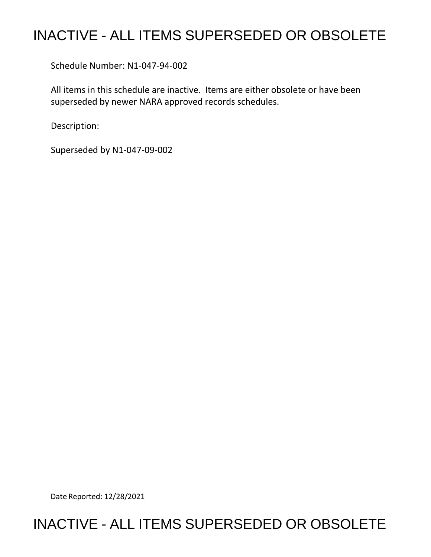# INACTIVE - ALL ITEMS SUPERSEDED OR OBSOLETE

Schedule Number: N1-047-94-002

 All items in this schedule are inactive. Items are either obsolete or have been superseded by newer NARA approved records schedules.

Description:

Superseded by N1-047-09-002

Date Reported: 12/28/2021

## INACTIVE - ALL ITEMS SUPERSEDED OR OBSOLETE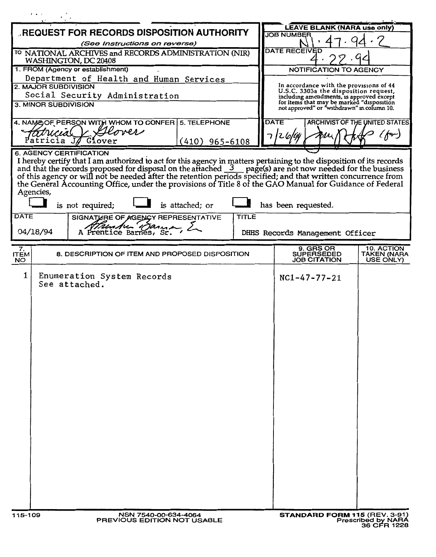| REQUEST FOR RECORDS DISPOSITION AUTHORITY                                                                                                                                                                                                                                                                                                                                                                                                                                                                                                                                                          | <b>LEAVE BLANK (NARA use only)</b><br><b>JOB NUMBER</b>                                         |
|----------------------------------------------------------------------------------------------------------------------------------------------------------------------------------------------------------------------------------------------------------------------------------------------------------------------------------------------------------------------------------------------------------------------------------------------------------------------------------------------------------------------------------------------------------------------------------------------------|-------------------------------------------------------------------------------------------------|
| (See Instructions on reverse)                                                                                                                                                                                                                                                                                                                                                                                                                                                                                                                                                                      |                                                                                                 |
| <sup>TO</sup> NATIONAL ARCHIVES and RECORDS ADMINISTRATION (NIR)<br>WASHINGTON, DC 20408                                                                                                                                                                                                                                                                                                                                                                                                                                                                                                           | <b>DATE RECEIVED</b>                                                                            |
| 1. FROM (Agency or establishment)                                                                                                                                                                                                                                                                                                                                                                                                                                                                                                                                                                  | NOTIFICATION TO AGENCY                                                                          |
| Department of Health and Human Services                                                                                                                                                                                                                                                                                                                                                                                                                                                                                                                                                            |                                                                                                 |
| 2. MAJOR SUBDIVISION                                                                                                                                                                                                                                                                                                                                                                                                                                                                                                                                                                               | In accordance with the provisions of 44<br>U.S.C. 3303a the disposition request,                |
| Social Security Administration<br>3. MINOR SUBDIVISION                                                                                                                                                                                                                                                                                                                                                                                                                                                                                                                                             | including amendments, is approved except<br>for items that may be marked "disposition           |
|                                                                                                                                                                                                                                                                                                                                                                                                                                                                                                                                                                                                    | not approved" or "withdrawn" in column 10.                                                      |
| 4. NAME OF PERSON WITH WHOM TO CONFER 5. TELEPHONE                                                                                                                                                                                                                                                                                                                                                                                                                                                                                                                                                 | <b>DATE</b><br>ARCHIVIST OF THE UNITED STATES                                                   |
| over                                                                                                                                                                                                                                                                                                                                                                                                                                                                                                                                                                                               | $(f^{a})$                                                                                       |
| atricia JA<br>Glover<br>$(410)$ 965-6108                                                                                                                                                                                                                                                                                                                                                                                                                                                                                                                                                           |                                                                                                 |
| I hereby certify that I am authorized to act for this agency in matters pertaining to the disposition of its records<br>and that the records proposed for disposal on the attached 3 page(s) are not now needed for the business of this agency or will not be needed after the retention periods specified; and that written concurrence from the Gen<br>Agencies,<br>is not required;<br>is attached; or<br>has been requested.<br><b>DATE</b><br>TITLE<br>SIGNATURE OF AGENCY REPRESENTATIVE<br>A <i>Munder Danner</i><br>A Prentice Barnes, Sr.<br>04/18/94<br>DHHS Records Management Officer |                                                                                                 |
|                                                                                                                                                                                                                                                                                                                                                                                                                                                                                                                                                                                                    |                                                                                                 |
| 7.<br>8. DESCRIPTION OF ITEM AND PROPOSED DISPOSITION<br><b>ITEM</b><br>NO.                                                                                                                                                                                                                                                                                                                                                                                                                                                                                                                        | 9. GRS OR<br>10. ACTION<br><b>SUPERSEDED</b><br>TAKEN (NARA<br><b>JOB CITATION</b><br>USE ONLY) |
| 1<br>Enumeration System Records<br>See attached.                                                                                                                                                                                                                                                                                                                                                                                                                                                                                                                                                   | $NC1 - 47 - 77 - 21$                                                                            |
| 115-109<br>NSN 7540-00-634-4064<br>PREVIOUS EDITION NOT USABLE                                                                                                                                                                                                                                                                                                                                                                                                                                                                                                                                     | <b>STANDARD FORM 115 (REV. 3-91)</b><br>Prescribed by NARA                                      |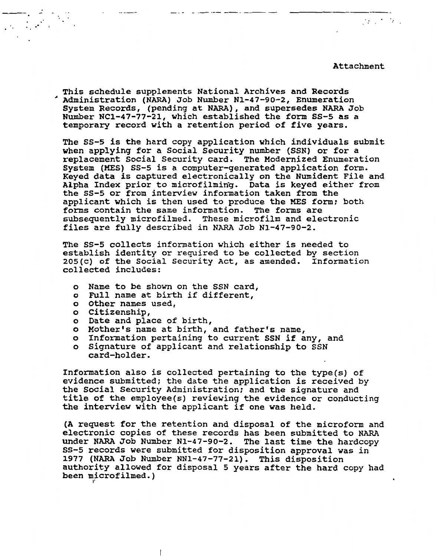## Attachment

 $\mathcal{F}^{\mathcal{L}}$  ,  $\mathcal{F}^{\mathcal{L}}$  ,  $\mathcal{F}^{\mathcal{L}}$  ,

This schedule supplements National Archives and Records <sup>~</sup>Administration (NARA) Job Number Nl-47-90-2, Enumeration System Records, (pending at NARA), and supersedes NARA Job Number NCl-47-77-21, which established the form SS-5 as a temporary record with a retention period of five years.

The SS-5 is the hard copy application which individuals submit when applying for a Social Security number (SSN) or for a replacement Social Security card. The Modernized Enumeration System (MES) SS-5 is a computer-generated application form. Keyed data is captured electronically on the Numident File and Alpha Index prior to microfilming. Data is keyed either from the ss-s or from interview information taken from the applicant which is then used to produce the MES form; both forms contain the same information. The forms are subsequently microfilmed. These microfilm and electronic files are fully described in NARA Job Nl-47-90-2.

The SS-5 collects information which either is needed to establish identity or required to be collected by section 205(c) of the Social Security Act, as amended. Information collected includes:

- o Name to be shown on the SSN card,
- o Full name at birth if different,
- o Other names used,
- o citizenship,

..

- o Date and place of birth,
- o Mother's name at birth, and father's name,
- o Information pertaining to current SSN if any, and
- o Signature of applicant and relationship to SSN card-holder.

Information also is collected pertaining to the type(s) of evidence submitted; the date the application is received by the Social Security Administration; and the signature and title of the employee(s) reviewing the evidence or conducting the interview with the applicant if one was held.

(A request for the retention and disposal of the microform and electronic copies of these records has been submitted to NARA under NARA Job Number Nl-47-90-2. The last time the hardcopy SS-5 records were submitted for disposition approval was in 1977 (NARA Job Number NNl-47-77-21). This disposition authority allowed for disposal 5 years after the hard copy had been microfilmed.)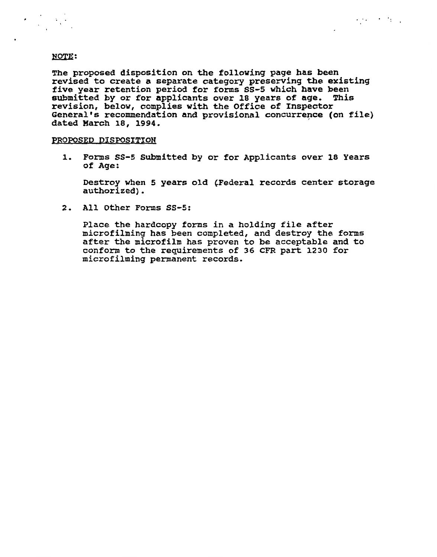$\label{eq:2} \mathcal{L} = \frac{1}{2} \sum_{i=1}^n \frac{1}{2} \sum_{j=1}^n \frac{1}{2} \sum_{j=1}^n \frac{1}{2} \sum_{j=1}^n \frac{1}{2} \sum_{j=1}^n \frac{1}{2} \sum_{j=1}^n \frac{1}{2} \sum_{j=1}^n \frac{1}{2} \sum_{j=1}^n \frac{1}{2} \sum_{j=1}^n \frac{1}{2} \sum_{j=1}^n \frac{1}{2} \sum_{j=1}^n \frac{1}{2} \sum_{j=1}^n \frac{1}{2} \sum_{j=1}$ 

The proposed disposition on the following page has been revised to create a separate category preserving the existing five year retention period for forms ss-5 which **have** been submitted by or for applicants over 18 years of **age.** This revision, below, complies with the Office of Inspector General's recommendation and provisional concurrence (on file) dated March 18, **1994.** '

 $\mathcal{A}$  and  $\mathcal{A}$  . As in  $\mathcal{A}$ 

### PROPOSED DISPOSITION

1. Forms SS-5 Submitted by or for Applicants over 18 Years of Age:

Destroy when 5 years old (Federal records center storage authorized).

**2. All Other Forms SS-5:** 

Place the hardcopy forms in a holding file after microfilming has been completed, and destroy the forms after the microfilm has proven to be acceptable and to conform to the requirements of 36 CFR part 1230 for microfilming permanent records.